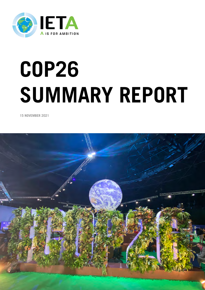

# **COP26 SUMMARY REPORT**

**15 NOVEMBER 2021**

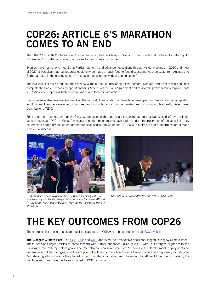#### COP26: ARTICLE 6'S MARATHON COMES TO AN END

The UNFCCC's 26th Conference of the Parties took place in Glasgow, Scotland from Sunday 31 October to Saturday 13 November 2021, after a two-year hiatus due to the coronavirus pandemic.

Even as travel restrictions meant that Parties had to try and advance negotiations through virtual meetings in 2020 and most of 2021, it was clear that real progress could only be made through face-to-face discussions. As a delegate from Antigua and Barbuda noted in the closing plenary, "It's been a pleasure to work in person again."

The two weeks of talks produced the Glasgow Climate Pact, a flurry of high-level sectoral pledges, and a set of decisions that complete the Paris Rulebook by operationalising Article 6 of the Paris Agreement and establishing transparency requirements for Parties when reporting both their emissions and their climate actions.

Decisions were also taken to begin work on the next set of financial commitments by developed countries to support adaptation in climate-vulnerable developing countries, and on rules on common timeframes for updating Nationally Determined Contributions (NDCs).

For the carbon market community, Glasgow represented the end of a six-year marathon that was kicked off by the initial achievements at COP21 in Paris. Advocates of market mechanisms have had to endure the frustration of repeated failure by countries to bridge divides on important technical issues, but we ended COP26 with optimism and a determination to make Article 6 a success.



*IETA Council's new chairperson Lisa DeMarco speaking with US special envoy on climate change John Kerry and Canadian MP and former Green Party leader Elizabeth May during the closing plenary at COP26*



*UK COP26 President Alok Sharma (Photo: UNFCCC)*

#### THE KEY OUTCOMES FROM COP26

The complete list of documents and decisions adopted at COP26 can be found [on the UNFCCC website.](https://unfccc.int/process-and-meetings/conferences/glasgow-climate-change-conference-october-november-2021/outcomes-of-the-glasgow-climate-change-conference)

The Glasgow Climate Pact: The [COP,](https://unfccc.int/sites/default/files/resource/cop26_auv_2f_cover_decision.pdf) [CMP](https://unfccc.int/sites/default/files/resource/cmp16_auv_2c_cover decision.pdf) and [CMA](https://unfccc.int/sites/default/files/resource/cma3_auv_2_cover decision.pdf) approved their respective decisions, tagged "Glasgow Climate Pact". These decisions urged Parties to come forward with further enhanced NDCs in 2022, with 2030 targets aligned with the Paris Agreement's temperature goals. The Pact also calls on governments to "accelerate the development, deployment and dissemination of technologies, and the adoption of policies, to transition towards low-emission energy system", including by "accelerating efforts towards the phasedown of unabated coal power and phase-out of inefficient fossil fuel subsidies", the first time such language has been included in COP decisions.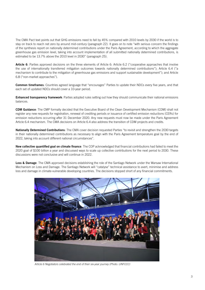The CMA Pact text points out that GHG emissions need to fall by 45% compared with 2010 levels by 2030 if the world is to stay on track to reach net zero by around mid-century (paragraph 22). It goes on to note "with serious concern the findings of the synthesis report on nationally determined contributions under the Paris Agreement, according to which the aggregate greenhouse gas emission level, taking into account implementation of all submitted nationally determined contributions, is estimated to be 13.7% above the 2010 level in 2030" (paragraph 25).

Article 6: Parties approved decisions on the three elements of Article 6: Article 6.2 ("cooperative approaches that involve the use of internationally transferred mitigation outcomes towards nationally determined contributions"); Article 6.4 ("a mechanism to contribute to the mitigation of greenhouse gas emissions and support sustainable development"); and Article 6.8 ("non-market approaches").

Common timeframes: Countries agreed language that "encourages" Parties to update their NDCs every five years, and that each set of updated NDCs should cover a 10-year period.

**Enhanced transparency framework**: Parties adopted rules setting out how they should communicate their national emissions balances.

CDM Guidance: The CMP formally decided that the Executive Board of the Clean Development Mechanism (CDM) shall not register any new requests for registration, renewal of crediting periods or issuance of certified emission reductions (CERs) for emission reductions occurring after 31 December 2020. Any new requests must now be made under the Paris Agreement Article 6.4 mechanism. The CMA decisions on Article 6.4 also address the transition of CDM projects and credits.

Nationally Determined Contributions: The CMA cover decision requested Parties "to revisit and strengthen the 2030 targets in their nationally determined contributions as necessary to align with the Paris Agreement temperature goal by the end of 2022, taking into account different national circumstances".

New collective quantified goal on climate finance: The COP acknowledged that financial contributions had failed to meet the 2020 goal of \$100 billion a year and discussed ways to scale up collective contributions for the next period to 2030. These discussions were not conclusive and will continue in 2022.

Loss & Damage: The CMA approved decisions establishing the role of the Santiago Network under the Warsaw International Mechanism on Loss and Damage. The Santiago Network will "catalyse" technical assistance to avert, minimise and address loss and damage in climate-vulnerable developing countries. The decisions stopped short of any financial commitments.



*Article 6 Negotiators celebrated the end of their six-year journey (Photo: UNFCCC)*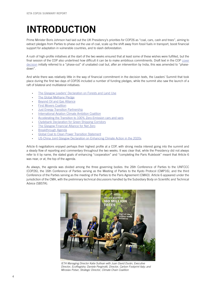#### INTRODUCTION

Prime Minister Boris Johnson had laid out the UK Presidency's priorities for COP26 as "coal, cars, cash and trees", aiming to extract pledges from Parties to phase out the use of coal, scale up the shift away from fossil fuels in transport, boost financial support for adaptation in vulnerable countries, and to slash deforestation.

A rush of high-profile initiatives at the start of the two weeks ensured that at least some of these wishes were fulfilled, but the final session of the COP also underlined how difficult it can be to make ambitious commitments. Draft text in the COP [cover](https://unfccc.int/sites/default/files/resource/cop26_auv_2f_cover_decision.pdf) [decision](https://unfccc.int/sites/default/files/resource/cop26_auv_2f_cover_decision.pdf) initially referred to a "phase-out" of unabated coal but, after an intervention by India, this was amended to "phasedown".

And while there was relatively little in the way of financial commitment in the decision texts, the Leaders' Summit that took place during the first two days of COP26 included a number of funding pledges, while the summit also saw the launch of a raft of bilateral and multilateral initiatives:

- [The Glasgow Leaders' Declaration on Forests and Land Use](https://ukcop26.org/glasgow-leaders-declaration-on-forests-and-land-use/)
- [The Global Methane Pledge](https://www.ccacoalition.org/en/resources/global-methane-pledge)
- [Beyond Oil and Gas Alliance](https://beyondoilandgasalliance.com/)
- **[First Movers Coalition](https://www.weforum.org/agenda/2021/11/first-movers-coalition-cop26-john-kerry-climate-change/)**
- **[Just Energy Transition Partnership](https://ec.europa.eu/commission/presscorner/detail/en/IP_21_5768)**
- [International Aviation Climate Ambition Coalition](https://ukcop26.org/cop-26-declaration-international-aviation-climate-ambition-coalition/)
- [Accelerating the Transition to 100% Zero-Emission cars and vans](https://www.gov.uk/government/publications/cop26-declaration-zero-emission-cars-and-vans/cop26-declaration-on-accelerating-the-transition-to-100-zero-emission-cars-and-vans)
- [Clydebank Declaration for Green Shipping Corridors](https://ukcop26.org/cop-26-clydebank-declaration-for-green-shipping-corridors/)
- [The Glasgow Financial Alliance for Net Zero](https://www.gfanzero.com/)
- [Breakthrough Agenda](https://ukcop26.org/cop26-world-leaders-summit-statement-on-the-breakthrough-agenda/)
- [Global Coal to Clean Power Transition Statement](https://ukcop26.org/global-coal-to-clean-power-transition-statement/)
- [US-China Joint Glasgow Declaration on Enhancing Climate Action in the 2020s](https://www.state.gov/u-s-china-joint-glasgow-declaration-on-enhancing-climate-action-in-the-2020s/)

Article 6 negotiations enjoyed perhaps their highest profile at a COP, with strong media interest going into the summit and a steady flow of reporting and commentary throughout the two weeks. It was clear that, while the Presidency did not always refer to it by name, the stated goals of enhancing "cooperation" and "completing the Paris Rulebook" meant that Article 6 was near, or at, the top of the agenda.

As always, the agenda was divided among the three governing bodies: the 26th Conference of Parties to the UNFCCC (COP26), the 16th Conference of Parties serving as the Meeting of Parties to the Kyoto Protocol (CMP16), and the third Conference of the Parties serving as the meeting of the Parties to the Paris Agreement (CMA3). Article 6 appeared under the jurisdiction of the CMA, with the preliminary technical discussions handled by the Subsidiary Body on Scientific and Technical Advice (SBSTA).



*IETA Managing Director Katie Sullivan with Juan David Durán, Executive Director, EcoRegistry; Daniele Perginotti, Director, Carbon Footprint Italy; and Miroslav Polser, Strategic Director, Climate Chain Coalition*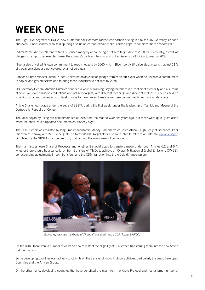## WEEK ONE

The High-Level segment of COP26 saw numerous calls for more widespread carbon pricing, led by the UN, Germany, Canada and even Prince Charles, who said "putting a value on carbon [would make] carbon capture solutions more economical."

India's Prime Minister Narendra Modi surprised many by announcing a net zero target date of 2070 for his country, as well as pledges to ramp up renewables, lower the country's carbon intensity, and cut emissions by 1 billion tonnes by 2030.

Nigeria also unveiled its own commitment to reach net zero by 2060 which, BloombergNEF calculated, means that just 11% of global emissions are not covered by a net-zero goal.

Canada's Prime Minister Justin Trudeau delivered on an election pledge from earlier this year when he unveiled a commitment to cap oil and gas emissions and to bring those industries to net zero by 2050.

UN Secretary-General Antonio Guterres sounded a word of warning, saying that there is a "deficit of credibility and a surplus of confusion over emissions reductions and net zero targets, with different meanings and different metrics." Guterres said he is setting up a group of experts to develop ways to measure and analyse net zero commitments from non-state actors.

Article 6 talks took place under the aegis of SBSTA during the first week, under the leadership of Tosi Mpanu Mpanu of the Democratic Republic of Congo.

The talks began by using the penultimate set of texts from the Madrid COP two years ago, but these were quickly set aside when the chair issued updated documents on Monday night.

The SBSTA chair was assisted by long-time co-facilitators Mandy Rambharos of South Africa, Hugh Sealy of Barbados, Peer Stiansen of Norway and Kim Solberg of The Netherlands. Negotiators also were able to refer to an informal [options paper](https://unfccc.int/sites/default/files/resource/SBSTA_Chair_options_paper_Article 6.pdf), circulated by the SBSTA chair before COP, that laid out the main areas of contention.

The main issues were Share of Proceeds and whether it should apply to transfers made under both Articles 6.2 and 6.4, whether there should be a cancellation from transfers of ITMOs to achieve an Overall Mitigation of Global Emissions (OMGE), corresponding adjustments in both transfers, and the CDM transition into the Article 6.4 mechanism.



*Guinea represented the Group of 77 and China at this year's COP (Photo: UNFCCC)*

On the CDM, there were a number of views on how to restrict the eligibility of CERs when transferring them into the new Article 6.4 mechanism.

Some developing countries wanted very strict limits on the transfer of Kyoto Protocol activities, particularly the Least Developed Countries and the African Group.

On the other hand, developing countries that have benefited the most from the Kyoto Protocol and host a large number of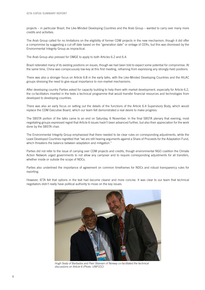projects – in particular Brazil, the Like-Minded Developing Countries and the Arab Group – wanted to carry over many more credits and activities.

The Arab Group called for no limitations on the eligibility of former CDM projects in the new mechanism, though it did offer a compromise by suggesting a cut-off date based on the "generation date" or vintage of CERs, but this was dismissed by the Environmental Integrity Group as impractical.

The Arab Group also pressed for OMGE to apply to both Articles 6.2 and 6.4.

Brazil reiterated many of its existing positions on issues, though we had been told to expect some potential for compromise. At the same time, China was conspicuously low-key at this first meeting, refraining from expressing any strongly-held positions.

There was also a stronger focus on Article 6.8 in the early talks, with the Like-Minded Developing Countries and the AILAC groups stressing the need to give equal importance to non-market mechanisms.

After developing country Parties asked for capacity building to help them with market development, especially for Article 6.2, the co-facilitators inserted in the texts a technical programme that would transfer financial resources and technologies from developed to developing countries.

There was also an early focus on setting out the details of the functions of the Article 6.4 Supervisory Body, which would replace the CDM Executive Board, which our team felt demonstrated a real desire to make progress.

The SBSTA portion of the talks came to an end on Saturday, 6 November. In the final SBSTA plenary that evening, most negotiating groups expressed regret that Article 6 issues hadn't been advanced further, but also their appreciation for the work done by the SBSTA chair.

The Environmental Integrity Group emphasised that there needed to be clear rules on corresponding adjustments, while the Least Developed Countries regretted that "we are still hearing arguments against a Share of Proceeds for the Adaptation Fund, which threatens the balance between adaptation and mitigation."

Parties did not refer to the issue of carrying over CDM projects and credits, though environmental NGO coalition the Climate Action Network urged governments to not allow any carryover and to require corresponding adjustments for all transfers, whether inside or outside the scope of NDCs.

Parties also underlined the importance of agreement on common timeframes for NDCs and robust transparency rules for reporting.

However, IETA felt that options in the text had become clearer and more concise. It was clear to our team that technical negotiators didn't really have political authority to move on the key issues.



*Hugh Sealy of* Barbados *and Peer Stiansen of Norway co-facilitated the technical discussions on Article 6 (Photo: UNFCCC)*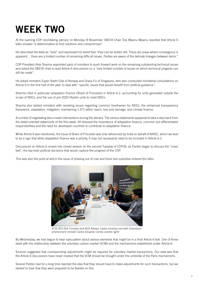#### WEEK TWO

At the opening COP stocktaking plenary on Monday, 8 November, SBSTA Chair Tosi Mpanu Mpanu reported that Article 6 talks showed "a determination to find solutions and compromises".

He described the texts as "bold" and expressed his belief that "they can be bolder still. There are areas where convergence is apparent… there are a limited number of remaining difficult issues. Parties are aware of the delicate linkages between items."

COP President Alok Sharma appointed pairs of ministers to push forward work on the remaining outstanding technical issues and asked the SBSTA chair to lead Article 6 discussions on a "very limited number of issues on which technical progress can still be made".

He asked ministers Espen Barth Eide of Norway and Grace Fu of Singapore, who also conducted ministerial consultations on Article 6 in the first half of the year, to deal with "specific issues that would benefit from political guidance".

Sharma cited in particular adaptation finance (Share of Proceeds) in Article 6.2, accounting for units generated outside the scope of NDCs, and the use of pre-2020 (Kyoto) units to meet NDCs.

Sharma also tasked ministers with resolving issues regarding common timeframes for NDCs, the enhanced transparency framework, adaptation, mitigation, maintaining 1.5°C within reach, loss and damage, and climate finance.

A number of negotiating blocs made interventions during the plenary. The various statements appeared to take a step back from the detail-oriented statements of the first week. All stressed the importance of adaptation finance, common but differentiated responsibilities and the need for developed countries to contribute to adaptation finance.

While Article 6 was mentioned, the issue of Share of Proceeds was only referenced by India on behalf of BASIC, which we took to be a sign that while adaptation finance was a priority, it may not necessarily need to be included in Article 6.2.

Discussions on Article 6 moved into closed session on the second Tuesday of COP26, as Parties began to discuss the "cover text", the top-level political decisions that would capture the progress of the COP.

This was also the point at which the issue of phasing out of coal and fossil fuel subsidies entered the talks.



*IETA CEO Dirk Forrister and NCS Advisor Carlos Cordova met with Colombia's environment minister Carlos Eduardo Correa (centre right)*

By Wednesday, we had begun to hear speculation about various elements that might be in a final Article 6 text. One of those dealt with the relationship between the voluntary carbon market (VCM) and the mechanisms established under Article 6.

Sources suggested that corresponding adjustments might be required for voluntary market transactions. Our view was that the Article 6 discussions have never implied that the VCM should be brought under the umbrella of the Paris mechanisms.

Several Parties had for a long time rejected the idea that they should have to make adjustments for such transactions, but we started to hear that they were prepared to be flexible on this.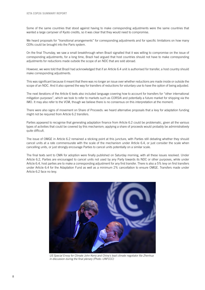Some of the same countries that stood against having to make corresponding adjustments were the same countries that wanted a large carryover of Kyoto credits, so it was clear that they would need to compromise.

We heard proposals for "transitional arrangements" for corresponding adjustments and for specific limitations on how many CERs could be brought into the Paris system.

On the final Thursday, we saw a small breakthrough when Brazil signalled that it was willing to compromise on the issue of corresponding adjustments; for a long time, Brazil had argued that host countries should not have to make corresponding adjustments for reductions made outside the scope of an NDC that are sold abroad.

However, we were told that Brazil had acknowledged that if an Article 6.4 unit is authorised for transfer, a host country should make corresponding adjustments.

This was significant because it meant that there was no longer an issue over whether reductions are made inside or outside the scope of an NDC. And it also opened the way for transfers of reductions for voluntary use to have the option of being adjusted.

The next iterations of the Article 6 texts also included language covering how to account for transfers for "other international mitigation purposes", which we took to refer to markets such as CORSIA and potentially a future market for shipping via the IMO. It may also refer to the VCM, though we believe there is no consensus on this interpretation at the moment.

There were also signs of movement on Share of Proceeds: we heard alternative proposals that a levy for adaptation funding might not be required from Article 6.2 transfers.

Parties appeared to recognise that generating adaptation finance from Article 6.2 could be problematic, given all the various types of activities that could be covered by this mechanism; applying a share of proceeds would probably be administratively quite difficult.

The issue of OMGE in Article 6.2 remained a sticking point at this juncture, with Parties still debating whether they should cancel units at a rate commensurate with the scale of the mechanism under Article 6.4, or just consider the scale when cancelling units, or just strongly encourage Parties to cancel units potentially on a similar scale.

The final texts sent to CMA for adoption were finally published on Saturday morning, with all these issues resolved. Under Article 6.2, Parties are encouraged to cancel units not used by any Party towards its NDC or other purposes, while under Article 6.4, host parties are to make a corresponding adjustment for any first transfer. There is also a 5% levy on first transfers under Article 6.4 for the Adaptation Fund as well as a minimum 2% cancellation to ensure OMGE. Transfers made under Article 6.2 face no levy.



*US Special Envoy for Climate John Kerry and China's lead climate negotiator Xie Zhenhua in discussion during the final plenary (Photo: UNFCCC)*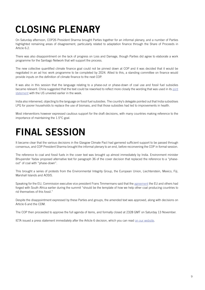## CLOSING PLENARY

On Saturday afternoon, COP26 President Sharma brought Parties together for an informal plenary, and a number of Parties highlighted remaining areas of disagreement, particularly related to adaptation finance through the Share of Proceeds in Article 6.2.

There was also disappointment on the lack of progress on Loss and Damage, though Parties did agree to elaborate a work programme for the Santiago Network that will support the process.

The new collective quantified climate finance goal could not be pinned down at COP and it was decided that it would be negotiated in an ad hoc work programme to be completed by 2024. Allied to this, a standing committee on finance would provide inputs on the definition of climate finance to the next COP.

It was also in this session that the language relating to a phase-out or phase-down of coal use and fossil fuel subsidies became relevant. China suggested that the text could be reworked to reflect more closely the wording that was used in its [joint](https://www.state.gov/u-s-china-joint-glasgow-declaration-on-enhancing-climate-action-in-the-2020s/)  [statement](https://www.state.gov/u-s-china-joint-glasgow-declaration-on-enhancing-climate-action-in-the-2020s/) with the US unveiled earlier in the week.

India also intervened, objecting to the language on fossil fuel subsidies. The country's delegate pointed out that India subsidises LPG for poorer households to replace the use of biomass, and that those subsidies had led to improvements in health.

Most interventions however expressed cautious support for the draft decisions, with many countries making reference to the importance of maintaining the 1.5°C goal.

#### FINAL SESSION

It became clear that the various decisions in the Glasgow Climate Pact had garnered sufficient support to be passed through consensus, and COP President Sharma brought the informal plenary to an end, before reconvening the COP in formal session.

The reference to coal and fossil fuels in the cover text was brought up almost immediately by India. Environment minister Bhupender Yadav proposed alternative text for paragraph 36 of the cover decision that replaced the reference to a "phaseout" of coal with "phase-down".

This brought a series of protests from the Environmental Integrity Group, the European Union, Liechtenstein, Mexico, Fiji, Marshall Islands and AOSIS.

Speaking for the EU, Commission executive vice president Frans Timmermans said that the [agreement](https://ec.europa.eu/commission/presscorner/detail/en/IP_21_5768) the EU and others had forged with South Africa earlier during the summit "should be the template of how we help other coal producing countries to rid themselves of this fossil."

Despite the disappointment expressed by these Parties and groups, the amended text was approved, along with decisions on Article 6 and the CDM.

The COP then proceeded to approve the full agenda of items, and formally closed at 2328 GMT on Saturday 13 November.

IETA issued a press statement immediately after the Article 6 decision, which you can read [on our website.](https://www.ieta.org/page-18192/12124951)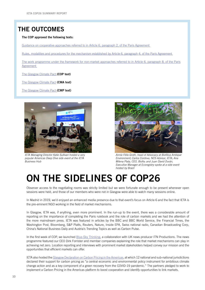#### THE OUTCOMES

#### The COP approved the following texts:

[Guidance on cooperative approaches referred to in Article 6, paragraph 2, of the Paris Agreement](https://unfccc.int/sites/default/files/resource/cma3_auv_12a_PA_6.2.pdf) 

[Rules, modalities and procedures for the mechanism established by Article 6, paragraph 4, of the Paris Agreement](https://unfccc.int/sites/default/files/resource/cma3_auv_12b_PA_6.4.pdf) 

[The work programme under the framework for non-market approaches referred to in Article 6, paragraph 8, of the Paris](https://unfccc.int/sites/default/files/resource/cma3_auv_12c_PA_6.8.pdf) **Agreement** 

[The Glasgow Climate Pact](https://unfccc.int/sites/default/files/resource/cop26_auv_2f_cover_decision.pdf) (COP text)

[The Glasgow Climate Pact](https://unfccc.int/sites/default/files/resource/cma3_auv_2_cover decision.pdf) (CMA text)

[The Glasgow Climate Pact](https://unfccc.int/sites/default/files/resource/cmp16_auv_2c_cover decision.pdf) (CMP text)



*IETA Managing Director Katie Sullivan hosted a very popular Americas Deep Dive side event at the IETA Business Hub*



*Annie Félix Groth, head of Advocacy at Biofílica Ambipar Environment; Carlos Cordova, NCS Advisor, IETA; Ana Milena Plata, CEO, Biofix; and Juan David Durán, Executive Manager at Ecoregistry spoke at a side event hosted by Brazil*

#### ON THE SIDELINES OF COP26

Observer access to the negotiating rooms was strictly limited but we were fortunate enough to be present whenever open sessions were held, and those of our members who were not in Glasgow were able to watch many sessions online.

In Madrid in 2019, we'd enjoyed an enhanced media presence due to that event's focus on Article 6 and the fact that IETA is the pre-eminent NGO working in the field of market mechanisms.

In Glasgow, IETA was, if anything, even more prominent. In the run-up to the event, there was a considerable amount of reporting on the importance of completing the Paris rulebook and the role of carbon markets and we had the attention of the more mainstream press. IETA was featured in articles by the BBC and BBC World Service, the Financial Times, the Washington Post, Bloomberg, S&P Platts, Reuters, Nature, Inside EPA, Swiss national radio, Canadian Broadcasting Corp, China's National Business Daily and Austria's Trending Topics as well as Carbon Pulse.

In the first week of COP, we launched [Blue-Sky Thinking](http://www.ieta.org/blue-sky-thinking), a collaboration with UK news producer ITN Productions. The news programme featured our CEO Dirk Forrister and member companies explaining the role that market mechanisms can play in achieving net zero. Location reporting and interviews with prominent market stakeholders helped convey our mission and the opportunities that efficient markets can offer.

IETA also hosted the [Glasgow Declaration on Carbon Pricing in the Americas](https://environnement.gouv.qc.ca/changementsclimatiques/declaration-Glasgow-tarification-carbone-ameriques-en.pdf), at which 12 national and sub-national jurisdictions declared their support for carbon pricing as "a central economic and environmental policy instrument for ambitious climate change action and as a key component of a green recovery from the COVID-19 pandemic." The partners pledged to work to implement a Carbon Pricing in the Americas platform to boost cooperation and identify opportunities to link markets.